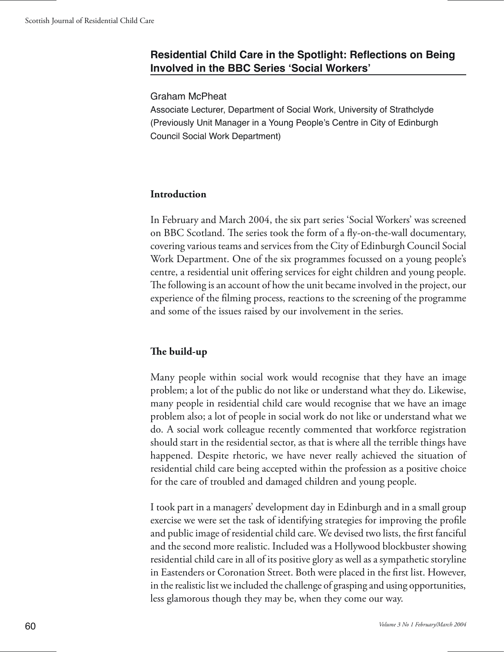# **Residential Child Care in the Spotlight: Reflections on Being Involved in the BBC Series 'Social Workers'**

#### Graham McPheat

Associate Lecturer, Department of Social Work, University of Strathclyde (Previously Unit Manager in a Young People's Centre in City of Edinburgh Council Social Work Department)

### **Introduction**

In February and March 2004, the six part series 'Social Workers' was screened on BBC Scotland. The series took the form of a fly-on-the-wall documentary, covering various teams and services from the City of Edinburgh Council Social Work Department. One of the six programmes focussed on a young people's centre, a residential unit offering services for eight children and young people. The following is an account of how the unit became involved in the project, our experience of the filming process, reactions to the screening of the programme and some of the issues raised by our involvement in the series.

## **The build-up**

Many people within social work would recognise that they have an image problem; a lot of the public do not like or understand what they do. Likewise, many people in residential child care would recognise that we have an image problem also; a lot of people in social work do not like or understand what we do. A social work colleague recently commented that workforce registration should start in the residential sector, as that is where all the terrible things have happened. Despite rhetoric, we have never really achieved the situation of residential child care being accepted within the profession as a positive choice for the care of troubled and damaged children and young people.

I took part in a managers' development day in Edinburgh and in a small group exercise we were set the task of identifying strategies for improving the profile and public image of residential child care. We devised two lists, the first fanciful and the second more realistic. Included was a Hollywood blockbuster showing residential child care in all of its positive glory as well as a sympathetic storyline in Eastenders or Coronation Street. Both were placed in the first list. However, in the realistic list we included the challenge of grasping and using opportunities, less glamorous though they may be, when they come our way.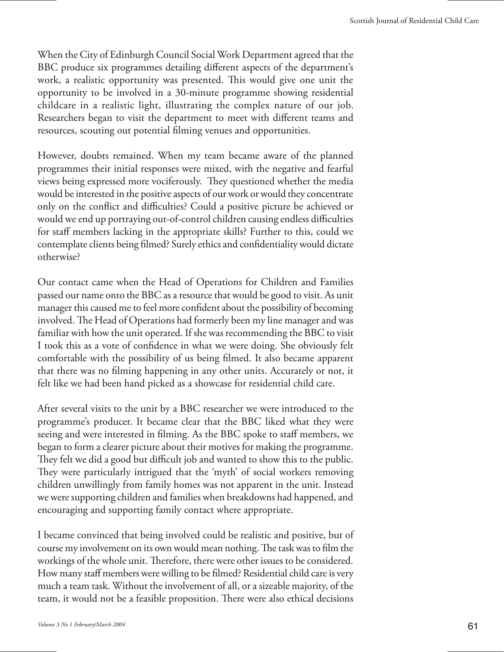When the City of Edinburgh Council Social Work Department agreed that the BBC produce six programmes detailing different aspects of the department's work, a realistic opportunity was presented. This would give one unit the opportunity to be involved in a 30-minute programme showing residential childcare in a realistic light, illustrating the complex nature of our job. Researchers began to visit the department to meet with different teams and resources, scouting out potential filming venues and opportunities.

However, doubts remained. When my team became aware of the planned programmes their initial responses were mixed, with the negative and fearful views being expressed more vociferously. They questioned whether the media would be interested in the positive aspects of our work or would they concentrate only on the conflict and difficulties? Could a positive picture be achieved or would we end up portraying out-of-control children causing endless difficulties for staff members lacking in the appropriate skills? Further to this, could we contemplate clients being filmed? Surely ethics and confidentiality would dictate otherwise?

Our contact came when the Head of Operations for Children and Families passed our name onto the BBC as a resource that would be good to visit. As unit manager this caused me to feel more confident about the possibility of becoming involved. The Head of Operations had formerly been my line manager and was familiar with how the unit operated. If she was recommending the BBC to visit I took this as a vote of confidence in what we were doing. She obviously felt comfortable with the possibility of us being filmed. It also became apparent that there was no filming happening in any other units. Accurately or not, it felt like we had been hand picked as a showcase for residential child care.

After several visits to the unit by a BBC researcher we were introduced to the programme's producer. It became clear that the BBC liked what they were seeing and were interested in filming. As the BBC spoke to staff members, we began to form a clearer picture about their motives for making the programme. They felt we did a good but difficult job and wanted to show this to the public. They were particularly intrigued that the 'myth' of social workers removing children unwillingly from family homes was not apparent in the unit. Instead we were supporting children and families when breakdowns had happened, and encouraging and supporting family contact where appropriate.

I became convinced that being involved could be realistic and positive, but of course my involvement on its own would mean nothing. The task was to film the workings of the whole unit. Therefore, there were other issues to be considered. How many staff members were willing to be filmed? Residential child care is very much a team task. Without the involvement of all, or a sizeable majority, of the team, it would not be a feasible proposition. There were also ethical decisions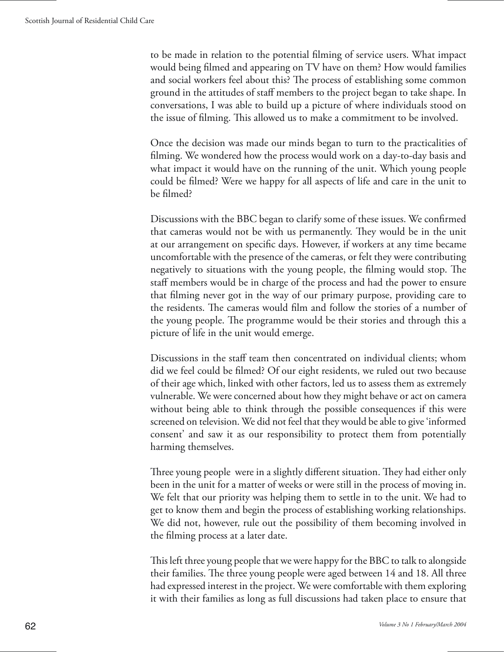to be made in relation to the potential filming of service users. What impact would being filmed and appearing on TV have on them? How would families and social workers feel about this? The process of establishing some common ground in the attitudes of staff members to the project began to take shape. In conversations, I was able to build up a picture of where individuals stood on the issue of filming. This allowed us to make a commitment to be involved.

Once the decision was made our minds began to turn to the practicalities of filming. We wondered how the process would work on a day-to-day basis and what impact it would have on the running of the unit. Which young people could be filmed? Were we happy for all aspects of life and care in the unit to be filmed?

Discussions with the BBC began to clarify some of these issues. We confirmed that cameras would not be with us permanently. They would be in the unit at our arrangement on specific days. However, if workers at any time became uncomfortable with the presence of the cameras, or felt they were contributing negatively to situations with the young people, the filming would stop. The staff members would be in charge of the process and had the power to ensure that filming never got in the way of our primary purpose, providing care to the residents. The cameras would film and follow the stories of a number of the young people. The programme would be their stories and through this a picture of life in the unit would emerge.

Discussions in the staff team then concentrated on individual clients; whom did we feel could be filmed? Of our eight residents, we ruled out two because of their age which, linked with other factors, led us to assess them as extremely vulnerable. We were concerned about how they might behave or act on camera without being able to think through the possible consequences if this were screened on television. We did not feel that they would be able to give 'informed consent' and saw it as our responsibility to protect them from potentially harming themselves.

Three young people were in a slightly different situation. They had either only been in the unit for a matter of weeks or were still in the process of moving in. We felt that our priority was helping them to settle in to the unit. We had to get to know them and begin the process of establishing working relationships. We did not, however, rule out the possibility of them becoming involved in the filming process at a later date.

This left three young people that we were happy for the BBC to talk to alongside their families. The three young people were aged between 14 and 18. All three had expressed interest in the project. We were comfortable with them exploring it with their families as long as full discussions had taken place to ensure that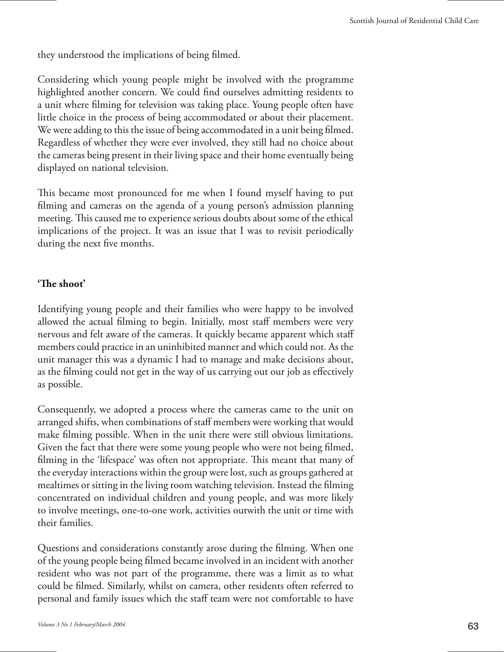they understood the implications of being filmed.

Considering which young people might be involved with the programme highlighted another concern. We could find ourselves admitting residents to a unit where filming for television was taking place. Young people often have little choice in the process of being accommodated or about their placement. We were adding to this the issue of being accommodated in a unit being filmed. Regardless of whether they were ever involved, they still had no choice about the cameras being present in their living space and their home eventually being displayed on national television.

This became most pronounced for me when I found myself having to put filming and cameras on the agenda of a young person's admission planning meeting. This caused me to experience serious doubts about some of the ethical implications of the project. It was an issue that I was to revisit periodically during the next five months.

#### **'The shoot'**

Identifying young people and their families who were happy to be involved allowed the actual filming to begin. Initially, most staff members were very nervous and felt aware of the cameras. It quickly became apparent which staff members could practice in an uninhibited manner and which could not. As the unit manager this was a dynamic I had to manage and make decisions about, as the filming could not get in the way of us carrying out our job as effectively as possible.

Consequently, we adopted a process where the cameras came to the unit on arranged shifts, when combinations of staff members were working that would make filming possible. When in the unit there were still obvious limitations. Given the fact that there were some young people who were not being filmed, filming in the 'lifespace' was often not appropriate. This meant that many of the everyday interactions within the group were lost, such as groups gathered at mealtimes or sitting in the living room watching television. Instead the filming concentrated on individual children and young people, and was more likely to involve meetings, one-to-one work, activities outwith the unit or time with their families.

Questions and considerations constantly arose during the filming. When one of the young people being filmed became involved in an incident with another resident who was not part of the programme, there was a limit as to what could be filmed. Similarly, whilst on camera, other residents often referred to personal and family issues which the staff team were not comfortable to have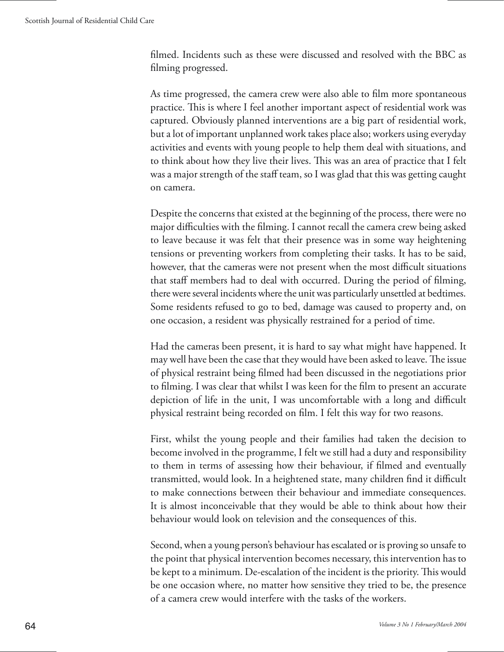filmed. Incidents such as these were discussed and resolved with the BBC as filming progressed.

As time progressed, the camera crew were also able to film more spontaneous practice. This is where I feel another important aspect of residential work was captured. Obviously planned interventions are a big part of residential work, but a lot of important unplanned work takes place also; workers using everyday activities and events with young people to help them deal with situations, and to think about how they live their lives. This was an area of practice that I felt was a major strength of the staff team, so I was glad that this was getting caught on camera.

Despite the concerns that existed at the beginning of the process, there were no major difficulties with the filming. I cannot recall the camera crew being asked to leave because it was felt that their presence was in some way heightening tensions or preventing workers from completing their tasks. It has to be said, however, that the cameras were not present when the most difficult situations that staff members had to deal with occurred. During the period of filming, there were several incidents where the unit was particularly unsettled at bedtimes. Some residents refused to go to bed, damage was caused to property and, on one occasion, a resident was physically restrained for a period of time.

Had the cameras been present, it is hard to say what might have happened. It may well have been the case that they would have been asked to leave. The issue of physical restraint being filmed had been discussed in the negotiations prior to filming. I was clear that whilst I was keen for the film to present an accurate depiction of life in the unit, I was uncomfortable with a long and difficult physical restraint being recorded on film. I felt this way for two reasons.

First, whilst the young people and their families had taken the decision to become involved in the programme, I felt we still had a duty and responsibility to them in terms of assessing how their behaviour, if filmed and eventually transmitted, would look. In a heightened state, many children find it difficult to make connections between their behaviour and immediate consequences. It is almost inconceivable that they would be able to think about how their behaviour would look on television and the consequences of this.

Second, when a young person's behaviour has escalated or is proving so unsafe to the point that physical intervention becomes necessary, this intervention has to be kept to a minimum. De-escalation of the incident is the priority. This would be one occasion where, no matter how sensitive they tried to be, the presence of a camera crew would interfere with the tasks of the workers.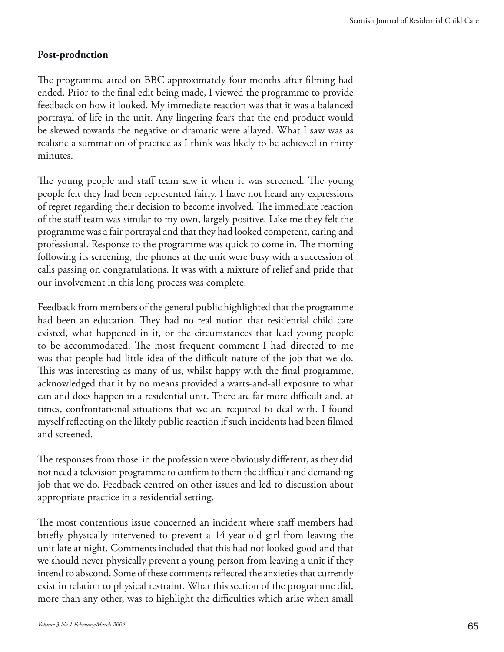### **Post-production**

The programme aired on BBC approximately four months after filming had ended. Prior to the final edit being made, I viewed the programme to provide feedback on how it looked. My immediate reaction was that it was a balanced portrayal of life in the unit. Any lingering fears that the end product would be skewed towards the negative or dramatic were allayed. What I saw was as realistic a summation of practice as I think was likely to be achieved in thirty minutes.

The young people and staff team saw it when it was screened. The young people felt they had been represented fairly. I have not heard any expressions of regret regarding their decision to become involved. The immediate reaction of the staff team was similar to my own, largely positive. Like me they felt the programme was a fair portrayal and that they had looked competent, caring and professional. Response to the programme was quick to come in. The morning following its screening, the phones at the unit were busy with a succession of calls passing on congratulations. It was with a mixture of relief and pride that our involvement in this long process was complete.

Feedback from members of the general public highlighted that the programme had been an education. They had no real notion that residential child care existed, what happened in it, or the circumstances that lead young people to be accommodated. The most frequent comment I had directed to me was that people had little idea of the difficult nature of the job that we do. This was interesting as many of us, whilst happy with the final programme, acknowledged that it by no means provided a warts-and-all exposure to what can and does happen in a residential unit. There are far more difficult and, at times, confrontational situations that we are required to deal with. I found myself reflecting on the likely public reaction if such incidents had been filmed and screened.

The responses from those in the profession were obviously different, as they did not need a television programme to confirm to them the difficult and demanding job that we do. Feedback centred on other issues and led to discussion about appropriate practice in a residential setting.

The most contentious issue concerned an incident where staff members had briefly physically intervened to prevent a 14-year-old girl from leaving the unit late at night. Comments included that this had not looked good and that we should never physically prevent a young person from leaving a unit if they intend to abscond. Some of these comments reflected the anxieties that currently exist in relation to physical restraint. What this section of the programme did, more than any other, was to highlight the difficulties which arise when small